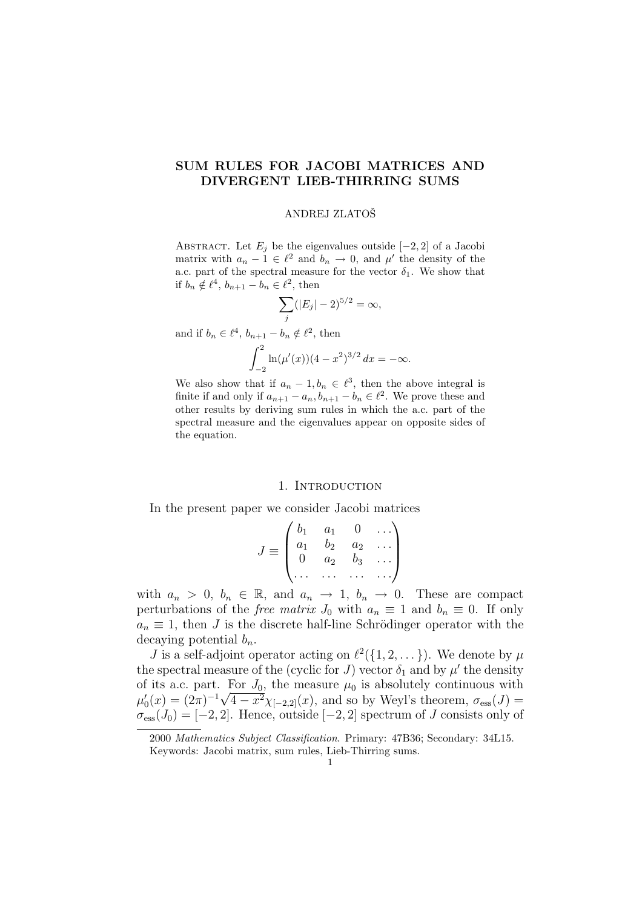# SUM RULES FOR JACOBI MATRICES AND DIVERGENT LIEB-THIRRING SUMS

#### ANDREJ ZLATOSˇ

ABSTRACT. Let  $E_j$  be the eigenvalues outside  $[-2, 2]$  of a Jacobi matrix with  $a_n - 1 \in \ell^2$  and  $b_n \to 0$ , and  $\mu'$  the density of the a.c. part of the spectral measure for the vector  $\delta_1$ . We show that if  $b_n \notin \ell^4$ ,  $b_{n+1} - b_n \in \ell^2$ , then

$$
\sum_{j}^{\prime} (|E_j| - 2)^{5/2} = \infty,
$$

and if  $b_n \in \ell^4$ ,  $b_{n+1} - b_n \notin \ell^2$ , then

$$
\int_{-2}^{2} \ln(\mu'(x))(4-x^2)^{3/2} dx = -\infty.
$$

We also show that if  $a_n - 1, b_n \in \ell^3$ , then the above integral is finite if and only if  $a_{n+1} - a_n, b_{n+1} - b_n \in \ell^2$ . We prove these and other results by deriving sum rules in which the a.c. part of the spectral measure and the eigenvalues appear on opposite sides of the equation.

#### 1. INTRODUCTION

In the present paper we consider Jacobi matrices  $\frac{1}{2}$ 

$$
J \equiv \begin{pmatrix} b_1 & a_1 & 0 & \dots \\ a_1 & b_2 & a_2 & \dots \\ 0 & a_2 & b_3 & \dots \\ \dots & \dots & \dots & \dots \end{pmatrix}
$$

with  $a_n > 0$ ,  $b_n \in \mathbb{R}$ , and  $a_n \to 1$ ,  $b_n \to 0$ . These are compact perturbations of the *free matrix*  $J_0$  with  $a_n \equiv 1$  and  $b_n \equiv 0$ . If only  $a_n \equiv 1$ , then J is the discrete half-line Schrödinger operator with the decaying potential  $b_n$ .

J is a self-adjoint operator acting on  $\ell^2({1, 2, \ldots})$ . We denote by  $\mu$ the spectral measure of the (cyclic for J) vector  $\delta_1$  and by  $\mu'$  the density of its a.c. part. For  $J_0$ , the measure  $\mu_0$  is absolutely continuous with  $\mu'_0(x) = (2\pi)^{-1}\sqrt{4-x^2}\chi_{[-2,2]}(x)$ , and so by Weyl's theorem,  $\sigma_{\rm ess}(J) =$  $\sigma_{\rm ess}(J_0) = [-2, 2]$ . Hence, outside  $[-2, 2]$  spectrum of J consists only of

<sup>2000</sup> Mathematics Subject Classification. Primary: 47B36; Secondary: 34L15. Keywords: Jacobi matrix, sum rules, Lieb-Thirring sums.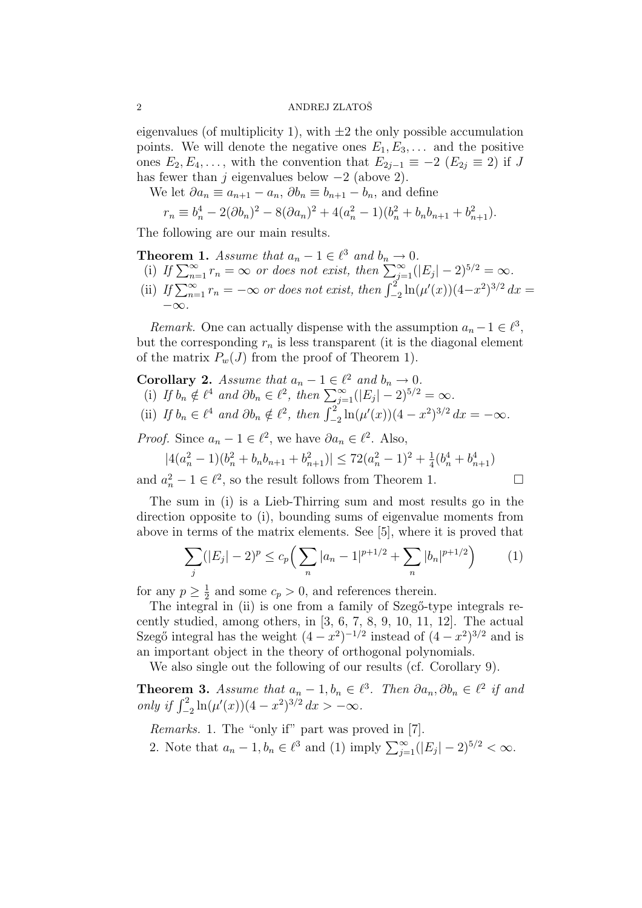### 2 ANDREJ ZLATOŠ

eigenvalues (of multiplicity 1), with  $\pm 2$  the only possible accumulation points. We will denote the negative ones  $E_1, E_3, \ldots$  and the positive ones  $E_2, E_4, \ldots$ , with the convention that  $E_{2j-1} \equiv -2$   $(E_{2j} \equiv 2)$  if J has fewer than j eigenvalues below  $-2$  (above 2).

We let  $\partial a_n \equiv a_{n+1} - a_n$ ,  $\partial b_n \equiv b_{n+1} - b_n$ , and define

$$
r_n \equiv b_n^4 - 2(\partial b_n)^2 - 8(\partial a_n)^2 + 4(a_n^2 - 1)(b_n^2 + b_n b_{n+1} + b_{n+1}^2).
$$

The following are our main results.

- **Theorem 1.** Assume that  $a_n 1 \in \ell^3$  and  $b_n \to 0$ .<br>
(i) If  $\sum_{n=1}^{\infty} r_n = \infty$  or does not exist, then  $\sum_{j=1}^{\infty} (|E_j| 2)^{5/2} = \infty$ .
- (ii) If  $\sum_{n=1}^{\infty} r_n = -\infty$  or does not exist, then  $\int_{-2}^{2} \ln(\mu'(x)) (4-x^2)^{3/2} dx =$  $-\infty$ .

*Remark*. One can actually dispense with the assumption  $a_n - 1 \in \ell^3$ , but the corresponding  $r_n$  is less transparent (it is the diagonal element of the matrix  $P_w(J)$  from the proof of Theorem 1).

**Corollary 2.** Assume that  $a_n - 1 \in \ell^2$  and  $b_n \to 0$ . Ford and  $a_n - 1 \in \ell^2$  and  $b_n \to 0$ .<br>
(i) If  $b_n \notin \ell^4$  and  $\partial b_n \in \ell^2$ , then  $\sum_{j=1}^{\infty} (|E_j| - 2)^{5/2} = \infty$ . (ii) If  $b_n \in \ell^4$  and  $\partial b_n \notin \ell^2$ , then  $\int_{-2}^{2} \ln(\mu'(x))(4-x^2)^{3/2} dx = -\infty$ .

*Proof.* Since  $a_n - 1 \in \ell^2$ , we have  $\partial a_n \in \ell^2$ . Also,

$$
|4(a_n^2 - 1)(b_n^2 + b_n b_{n+1} + b_{n+1}^2)| \le 72(a_n^2 - 1)^2 + \frac{1}{4}(b_n^4 + b_{n+1}^4)
$$

and  $a_n^2 - 1 \in \ell^2$ , so the result follows from Theorem 1.

$$
\Box
$$

The sum in (i) is a Lieb-Thirring sum and most results go in the direction opposite to (i), bounding sums of eigenvalue moments from above in terms of the matrix elements. See [5], where it is proved that

$$
\sum_{j} (|E_j| - 2)^p \le c_p \left( \sum_{n} |a_n - 1|^{p+1/2} + \sum_{n} |b_n|^{p+1/2} \right) \tag{1}
$$

for any  $p \geq \frac{1}{2}$  $\frac{1}{2}$  and some  $c_p > 0$ , and references therein.

The integral in (ii) is one from a family of Szegő-type integrals recently studied, among others, in [3, 6, 7, 8, 9, 10, 11, 12]. The actual Szegő integral has the weight  $(4-x^2)^{-1/2}$  instead of  $(4-x^2)^{3/2}$  and is an important object in the theory of orthogonal polynomials.

We also single out the following of our results (cf. Corollary 9).

**Theorem 3.** Assume that  $a_n - 1$ ,  $b_n \in \ell^3$ . Then  $\partial a_n$ ,  $\partial b_n \in \ell^2$  if and only if  $\int_{-2}^2 \ln(\mu'(x))(4 - x^2)^{3/2} dx > -\infty$ .

Remarks. 1. The "only if" part was proved in [7].

2. Note that  $a_n - 1, b_n \in \ell^3$  and (1) imply  $\sum_{j=1}^{\infty} (|E_j| - 2)^{5/2} < \infty$ .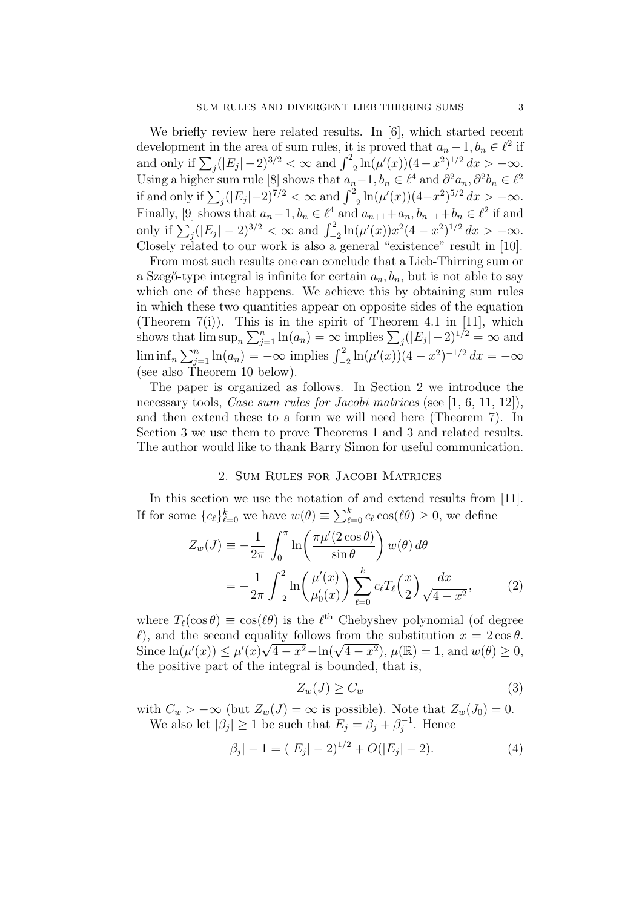We briefly review here related results. In [6], which started recent development in the area of sum rules, it is proved that  $a_n - 1, b_n \in \ell^2$  if development in the area of sum rules, it is proved that  $a_n - 1, b_n \in \ell$  in and only if  $\sum_j (|E_j| - 2)^{3/2} < \infty$  and  $\int_{-2}^2 \ln(\mu'(x)) (4 - x^2)^{1/2} dx > -\infty$ . Using a higher sum rule [8] shows that  $a_n - 1$ ,  $b_n \in \ell^4$  and  $\partial^2 a_n$ ,  $\partial^2 b_n \in \ell^2$ <br>if and only if  $\sum_j (|E_j| - 2)^{7/2} < \infty$  and  $\int_{-2}^2 \ln(\mu'(x)) (4 - x^2)^{5/2} dx > -\infty$ . Finally, [9] shows that  $a_n - 1$ ,  $b_n \in \ell^4$  and  $a_{n+1} + a_n$ ,  $b_{n+1} + b_n \in \ell^2$  if and only if  $\sum_j (|E_j| - 2)^{3/2} < \infty$  and  $\int_{-2}^2 \ln(\mu'(x)) x^2 (4 - x^2)^{1/2} dx > -\infty$ . Closely related to our work is also a general "existence" result in [10].

From most such results one can conclude that a Lieb-Thirring sum or a Szegő-type integral is infinite for certain  $a_n, b_n$ , but is not able to say which one of these happens. We achieve this by obtaining sum rules in which these two quantities appear on opposite sides of the equation (Theorem  $7(i)$ ). This is in the spirit of Theorem 4.1 in [11], which shows that  $\limsup_n$ this is in the spirit of Theorem 4.1 in [11], which<br> $\sum_{j=1}^{n} \ln(a_n) = \infty$  implies  $\sum_{j} (|E_j| - 2)^{1/2} = \infty$  and lim inf<sub>n</sub>  $\sum_{j=1}^{n} \ln(a_n) = -\infty$  implies  $\int_{-2}^{2} \ln(\mu'(x))(4 - x^2)^{-1/2} dx = -\infty$ (see also Theorem 10 below).

The paper is organized as follows. In Section 2 we introduce the necessary tools, *Case sum rules for Jacobi matrices* (see [1, 6, 11, 12]), and then extend these to a form we will need here (Theorem 7). In Section 3 we use them to prove Theorems 1 and 3 and related results. The author would like to thank Barry Simon for useful communication.

### 2. Sum Rules for Jacobi Matrices

In this section we use the notation of and extend results from [11]. If for some  ${c_{\ell}}_{\ell=0}^k$  we have  $w(\theta) \equiv$ лге<br> $\nabla^k$  $_{\ell=0}^{\kappa} c_{\ell} \cos(\ell \theta) \geq 0$ , we define

$$
Z_w(J) \equiv -\frac{1}{2\pi} \int_0^\pi \ln\left(\frac{\pi\mu'(2\cos\theta)}{\sin\theta}\right) w(\theta) d\theta
$$

$$
= -\frac{1}{2\pi} \int_{-2}^2 \ln\left(\frac{\mu'(x)}{\mu'_0(x)}\right) \sum_{\ell=0}^k c_\ell T_\ell\left(\frac{x}{2}\right) \frac{dx}{\sqrt{4-x^2}},\tag{2}
$$

where  $T_{\ell}(\cos \theta) \equiv \cos(\ell \theta)$  is the  $\ell^{\text{th}}$  Chebyshev polynomial (of degree  $\ell$ ), and the second equality follows from the substitution  $x = 2 \cos \theta$ .  $\mathcal{L}$ ), and the second equality follows from the substitution  $x = 2 \cos \theta$ .<br>Since  $\ln(\mu'(x)) \leq \mu'(x) \sqrt{4 - x^2} - \ln(\sqrt{4 - x^2})$ ,  $\mu(\mathbb{R}) = 1$ , and  $w(\theta) \geq 0$ , the positive part of the integral is bounded, that is,

$$
Z_w(J) \ge C_w \tag{3}
$$

with  $C_w > -\infty$  (but  $Z_w(J) = \infty$  is possible). Note that  $Z_w(J_0) = 0$ . We also let  $|\beta_j| \geq 1$  be such that  $E_j = \beta_j + \beta_j^{-1}$  $j^{-1}$ . Hence

$$
|\beta_j| - 1 = (|E_j| - 2)^{1/2} + O(|E_j| - 2). \tag{4}
$$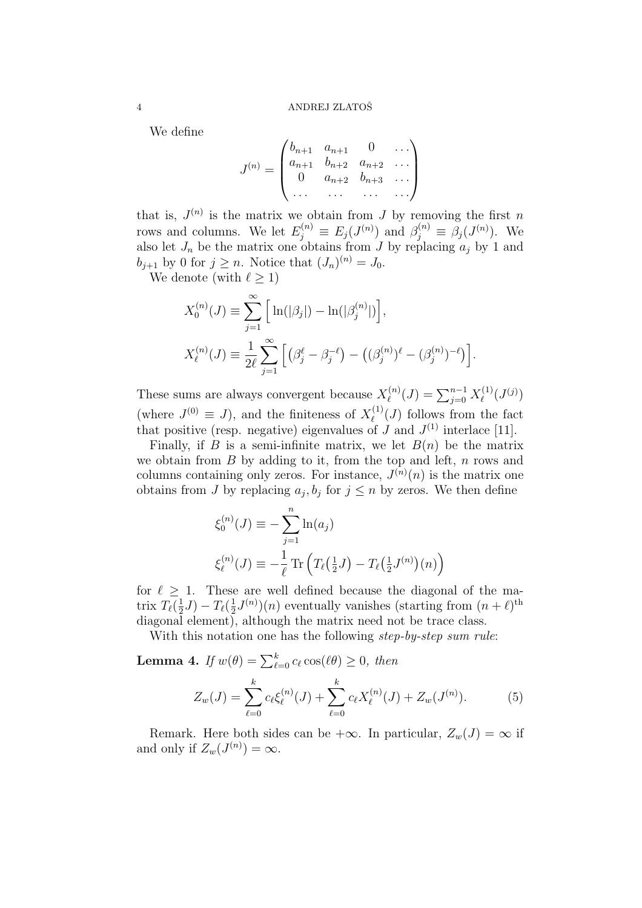We define

$$
J^{(n)} = \begin{pmatrix} b_{n+1} & a_{n+1} & 0 & \dots \\ a_{n+1} & b_{n+2} & a_{n+2} & \dots \\ 0 & a_{n+2} & b_{n+3} & \dots \\ \dots & \dots & \dots & \dots \end{pmatrix}
$$

 $\overline{ }$ 

that is,  $J^{(n)}$  is the matrix we obtain from J by removing the first n rows and columns. We let  $E_j^{(n)} \equiv E_j(J^{(n)})$  and  $\beta_j^{(n)} \equiv \beta_j(J^{(n)})$ . We also let  $J_n$  be the matrix one obtains from J by replacing  $a_j$  by 1 and  $b_{j+1}$  by 0 for  $j \geq n$ . Notice that  $(J_n)^{(n)} = J_0$ .

We denote (with  $\ell > 1$ )

$$
X_0^{(n)}(J) \equiv \sum_{j=1}^{\infty} \left[ \ln(|\beta_j|) - \ln(|\beta_j^{(n)}|) \right],
$$
  

$$
X_{\ell}^{(n)}(J) \equiv \frac{1}{2\ell} \sum_{j=1}^{\infty} \left[ \left( \beta_j^{\ell} - \beta_j^{-\ell} \right) - \left( (\beta_j^{(n)})^{\ell} - (\beta_j^{(n)})^{-\ell} \right) \right].
$$

These sums are always convergent because  $X_{\ell}^{(n)}$  $\mathcal{L}_{\ell}^{(n)}(J) = \sum_{j=0}^{n-1} X_{\ell}^{(1)}$  $\ell^{(1)}(J^{(j)})$ (where  $J^{(0)} \equiv J$ ), and the finiteness of  $X^{(1)}_{\ell}$  $\ell^{(1)}(J)$  follows from the fact that positive (resp. negative) eigenvalues of J and  $J^{(1)}$  interlace [11].

Finally, if B is a semi-infinite matrix, we let  $B(n)$  be the matrix we obtain from  $B$  by adding to it, from the top and left,  $n$  rows and columns containing only zeros. For instance,  $J^{(n)}(n)$  is the matrix one obtains from J by replacing  $a_j, b_j$  for  $j \leq n$  by zeros. We then define

$$
\xi_0^{(n)}(J) \equiv -\sum_{j=1}^n \ln(a_j)
$$
  

$$
\xi_{\ell}^{(n)}(J) \equiv -\frac{1}{\ell} \text{Tr} \left( T_{\ell} \left( \frac{1}{2} J \right) - T_{\ell} \left( \frac{1}{2} J^{(n)} \right) (n) \right)
$$

for  $\ell \geq 1$ . These are well defined because the diagonal of the matrix  $T_{\ell}(\frac{1}{2})$  $(\frac{1}{2}J) - T_{\ell}(\frac{1}{2})$  $\frac{1}{2}J^{(n)}(n)$  eventually vanishes (starting from  $(n+\ell)$ <sup>th</sup> diagonal element), although the matrix need not be trace class.

With this notation one has the following *step-by-step sum rule*:

**Lemma 4.** If  $w(\theta) = \sum_{\ell=0}^{k} c_{\ell} \cos(\ell \theta) \geq 0$ , then

$$
Z_w(J) = \sum_{\ell=0}^k c_\ell \xi_\ell^{(n)}(J) + \sum_{\ell=0}^k c_\ell X_\ell^{(n)}(J) + Z_w(J^{(n)}). \tag{5}
$$

Remark. Here both sides can be  $+\infty$ . In particular,  $Z_w(J) = \infty$  if and only if  $Z_w(J^{(n)}) = \infty$ .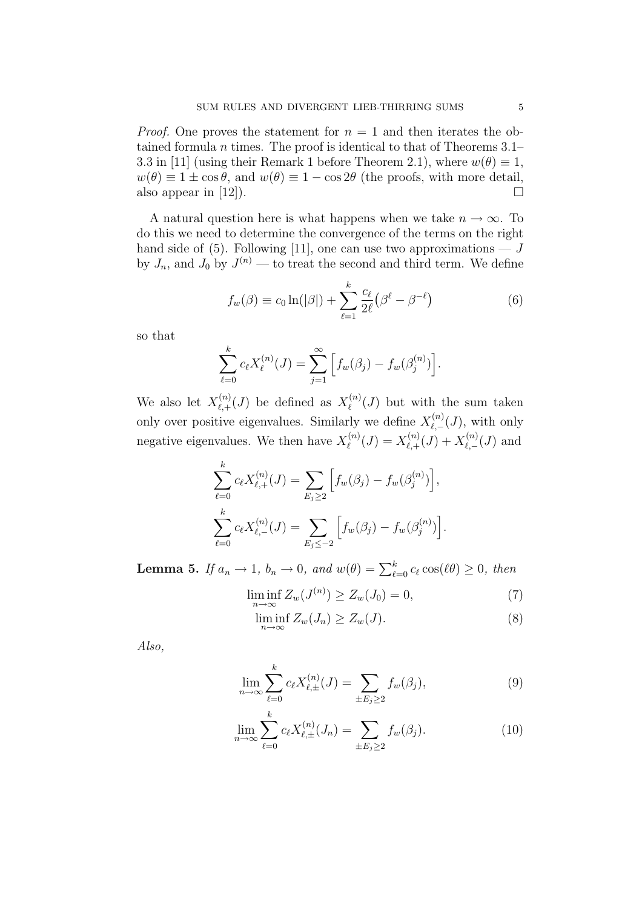*Proof.* One proves the statement for  $n = 1$  and then iterates the obtained formula n times. The proof is identical to that of Theorems  $3.1-$ 3.3 in [11] (using their Remark 1 before Theorem 2.1), where  $w(\theta) \equiv 1$ ,  $w(\theta) \equiv 1 \pm \cos \theta$ , and  $w(\theta) \equiv 1 - \cos 2\theta$  (the proofs, with more detail, also appear in [12]).  $\Box$ 

A natural question here is what happens when we take  $n \to \infty$ . To do this we need to determine the convergence of the terms on the right hand side of (5). Following [11], one can use two approximations  $- J$ by  $J_n$ , and  $J_0$  by  $J^{(n)}$  — to treat the second and third term. We define

$$
f_w(\beta) \equiv c_0 \ln(|\beta|) + \sum_{\ell=1}^k \frac{c_\ell}{2\ell} (\beta^\ell - \beta^{-\ell})
$$
 (6)

so that

$$
\sum_{\ell=0}^{k} c_{\ell} X_{\ell}^{(n)}(J) = \sum_{j=1}^{\infty} \left[ f_w(\beta_j) - f_w(\beta_j^{(n)}) \right].
$$

We also let  $X_{\ell_{+}}^{(n)}$  $\chi^{(n)}_{\ell,+}(J)$  be defined as  $X^{(n)}_{\ell}$  $\mathcal{L}^{(n)}(J)$  but with the sum taken only over positive eigenvalues. Similarly we define  $X_{\ell}^{(n)}$  $\chi^{(n)}_{\ell,-}(J)$ , with only negative eigenvalues. We then have  $X_{\ell}^{(n)}$  $\chi_{\ell}^{(n)}(J) = X_{\ell,+}^{(n)}$  $X^{(n)}_{\ell,+}(J) + X^{(n)}_{\ell,-}$  $\chi^{(n)}_{\ell,-}(J)$  and

$$
\sum_{\ell=0}^{k} c_{\ell} X_{\ell,+}^{(n)}(J) = \sum_{E_j \ge 2} \left[ f_w(\beta_j) - f_w(\beta_j^{(n)}) \right],
$$
  

$$
\sum_{\ell=0}^{k} c_{\ell} X_{\ell,-}^{(n)}(J) = \sum_{E_j \le -2} \left[ f_w(\beta_j) - f_w(\beta_j^{(n)}) \right].
$$

**Lemma 5.** If  $a_n \to 1$ ,  $b_n \to 0$ , and  $w(\theta) = \sum_{\ell=0}^k c_\ell \cos(\ell \theta) \geq 0$ , then

$$
\liminf_{n \to \infty} Z_w(J^{(n)}) \ge Z_w(J_0) = 0,\tag{7}
$$

$$
\liminf_{n \to \infty} Z_w(J_n) \ge Z_w(J). \tag{8}
$$

Also,

$$
\lim_{n \to \infty} \sum_{\ell=0}^{k} c_{\ell} X_{\ell, \pm}^{(n)}(J) = \sum_{\pm E_j \ge 2} f_w(\beta_j), \tag{9}
$$

$$
\lim_{n \to \infty} \sum_{\ell=0}^{k} c_{\ell} X_{\ell, \pm}^{(n)}(J_n) = \sum_{\pm E_j \ge 2} f_w(\beta_j). \tag{10}
$$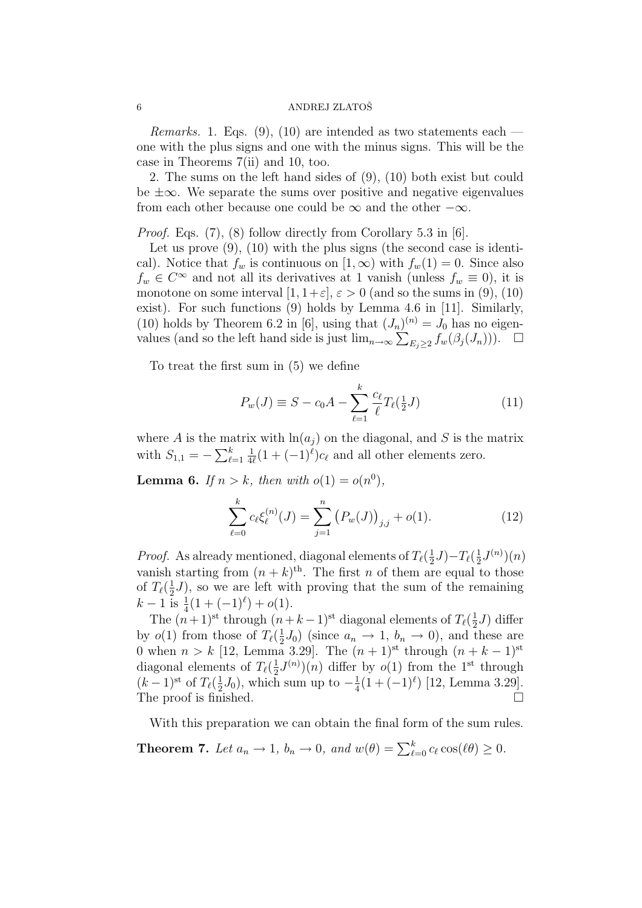### 6 ANDREJ ZLATOŠ

*Remarks.* 1. Eqs. (9), (10) are intended as two statements each one with the plus signs and one with the minus signs. This will be the case in Theorems 7(ii) and 10, too.

2. The sums on the left hand sides of (9), (10) both exist but could be ±∞. We separate the sums over positive and negative eigenvalues from each other because one could be  $\infty$  and the other  $-\infty$ .

*Proof.* Eqs.  $(7)$ ,  $(8)$  follow directly from Corollary 5.3 in [6].

Let us prove  $(9)$ ,  $(10)$  with the plus signs (the second case is identical). Notice that  $f_w$  is continuous on  $[1,\infty)$  with  $f_w(1) = 0$ . Since also  $f_w \in C^{\infty}$  and not all its derivatives at 1 vanish (unless  $f_w \equiv 0$ ), it is monotone on some interval  $[1, 1+\varepsilon], \varepsilon > 0$  (and so the sums in (9), (10) exist). For such functions (9) holds by Lemma 4.6 in [11]. Similarly, (10) holds by Theorem 6.2 in [6], using that  $(J_n)^{(n)} = J_0$  has no eigen-(10) notas by Theorem 6.2 in [0], using that  $(J_n)^{N} = J_0$  has no eigenvalues (and so the left hand side is just  $\lim_{n\to\infty} \sum_{E_j\geq 2} f_w(\beta_j(J_n)))$ .  $\Box$ 

To treat the first sum in (5) we define

$$
P_w(J) \equiv S - c_0 A - \sum_{\ell=1}^k \frac{c_\ell}{\ell} T_\ell(\frac{1}{2}J)
$$
 (11)

where A is the matrix with  $\ln(a_i)$  on the diagonal, and S is the matrix with  $S_{1,1} = -\sum_{\ell}^{k}$  $_{\ell=1}$ 1  $\frac{1}{4\ell}(1+(-1)^{\ell})c_{\ell}$  and all other elements zero.

**Lemma 6.** If  $n > k$ , then with  $o(1) = o(n^0)$ ,

$$
\sum_{\ell=0}^{k} c_{\ell} \xi_{\ell}^{(n)}(J) = \sum_{j=1}^{n} (P_w(J))_{j,j} + o(1).
$$
 (12)

*Proof.* As already mentioned, diagonal elements of  $T_{\ell}(\frac{1}{2})$  $(\frac{1}{2}J) - T_{\ell}(\frac{1}{2})$  $\frac{1}{2}J^{(n)}(n)$ vanish starting from  $(n+k)$ <sup>th</sup>. The first *n* of them are equal to those of  $T_{\ell}(\frac{1}{2})$  $\frac{1}{2}J$ , so we are left with proving that the sum of the remaining  $k-1 \overline{1}$  is  $\frac{1}{4}(1+(-1)^{\ell})+o(1)$ .

The  $(n+1)$ <sup>st</sup> through  $(n+k-1)$ <sup>st</sup> diagonal elements of  $T_{\ell}(\frac{1}{2})$  $(\frac{1}{2}J)$  differ by  $o(1)$  from those of  $T_{\ell}(\frac{1}{2})$  $\frac{1}{2}J_0$ ) (since  $a_n \to 1$ ,  $b_n \to 0$ ), and these are 0 when  $n > k$  [12, Lemma 3.29]. The  $(n + 1)$ <sup>st</sup> through  $(n + k - 1)$ <sup>st</sup> diagonal elements of  $T_{\ell}(\frac{1}{2})$  $\frac{1}{2}J^{(n)}(n)$  differ by  $o(1)$  from the 1<sup>st</sup> through  $(k-1)$ <sup>st</sup> of  $T_{\ell}(\frac{1}{2})$  $(\frac{1}{2}J_0)$ , which sum up to  $-\frac{1}{4}$  $\frac{1}{4}(1+(-1)^{\ell})$  [12, Lemma 3.29]. The proof is finished.  $\Box$ 

With this preparation we can obtain the final form of the sum rules.

**Theorem 7.** Let  $a_n \to 1$ ,  $b_n \to 0$ , and  $w(\theta) = \sum_{\ell=0}^k c_\ell \cos(\ell \theta) \ge 0$ .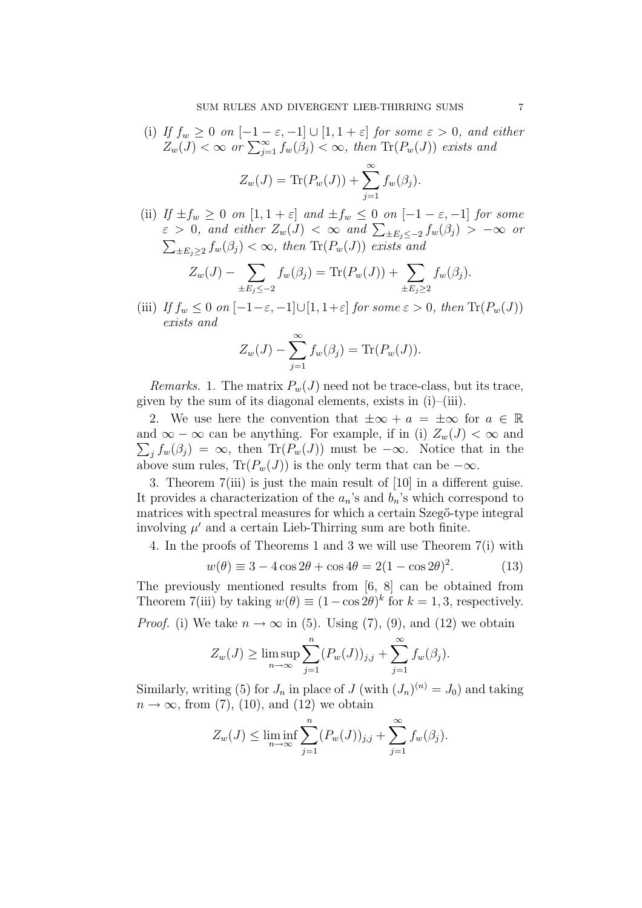(i) If  $f_w \ge 0$  on  $[-1-\varepsilon, -1] \cup [1, 1+\varepsilon]$  for some  $\varepsilon > 0$ , and either  $Z_w(J) < \infty$  or  $\sum_{j=1}^{\infty} f_w(\beta_j) < \infty$ , then  $\text{Tr}(P_w(J))$  exists and

$$
Z_w(J) = \text{Tr}(P_w(J)) + \sum_{j=1}^{\infty} f_w(\beta_j).
$$

(ii) If  $\pm f_w \geq 0$  on  $[1, 1 + \varepsilon]$  and  $\pm f_w \leq 0$  on  $[-1 - \varepsilon, -1]$  for some  $\varepsilon > 0$ , and either  $Z_w(J) < \infty$  and  $\sum_{\pm E_j \leq -2} f_w(\beta_j) > -\infty$  or  $\pm E_j \geq 2 f_w(\beta_j) < \infty$ , then  $\text{Tr}(P_w(J))$  exists and

$$
Z_w(J) - \sum_{\pm E_j \le -2} f_w(\beta_j) = \text{Tr}(P_w(J)) + \sum_{\pm E_j \ge 2} f_w(\beta_j).
$$

(iii) If  $f_w \leq 0$  on  $[-1-\varepsilon, -1] \cup [1, 1+\varepsilon]$  for some  $\varepsilon > 0$ , then  $\text{Tr}(P_w(J))$ exists and

$$
Z_w(J) - \sum_{j=1}^{\infty} f_w(\beta_j) = \text{Tr}(P_w(J)).
$$

*Remarks.* 1. The matrix  $P_w(J)$  need not be trace-class, but its trace, given by the sum of its diagonal elements, exists in  $(i)$ – $(iii)$ .

2. We use here the convention that  $\pm \infty + a = \pm \infty$  for  $a \in \mathbb{R}$ and  $\infty - \infty$  can be anything. For example, if in (i)  $Z_w(J) < \infty$  and  $j f_w(\beta_j) = \infty$ , then Tr( $P_w(J)$ ) must be  $-\infty$ . Notice that in the above sum rules,  $\text{Tr}(P_w(J))$  is the only term that can be  $-\infty$ .

3. Theorem 7(iii) is just the main result of [10] in a different guise. It provides a characterization of the  $a_n$ 's and  $b_n$ 's which correspond to matrices with spectral measures for which a certain Szegő-type integral involving  $\mu'$  and a certain Lieb-Thirring sum are both finite.

4. In the proofs of Theorems 1 and 3 we will use Theorem 7(i) with

$$
w(\theta) \equiv 3 - 4\cos 2\theta + \cos 4\theta = 2(1 - \cos 2\theta)^2.
$$
 (13)

The previously mentioned results from [6, 8] can be obtained from Theorem 7(iii) by taking  $w(\theta) \equiv (1 - \cos 2\theta)^k$  for  $k = 1, 3$ , respectively.

*Proof.* (i) We take  $n \to \infty$  in (5). Using (7), (9), and (12) we obtain

$$
Z_w(J) \ge \limsup_{n \to \infty} \sum_{j=1}^n (P_w(J))_{j,j} + \sum_{j=1}^\infty f_w(\beta_j).
$$

Similarly, writing (5) for  $J_n$  in place of  $J$  (with  $(J_n)^{(n)} = J_0$ ) and taking  $n \to \infty$ , from (7), (10), and (12) we obtain

$$
Z_w(J) \le \liminf_{n \to \infty} \sum_{j=1}^n (P_w(J))_{j,j} + \sum_{j=1}^\infty f_w(\beta_j).
$$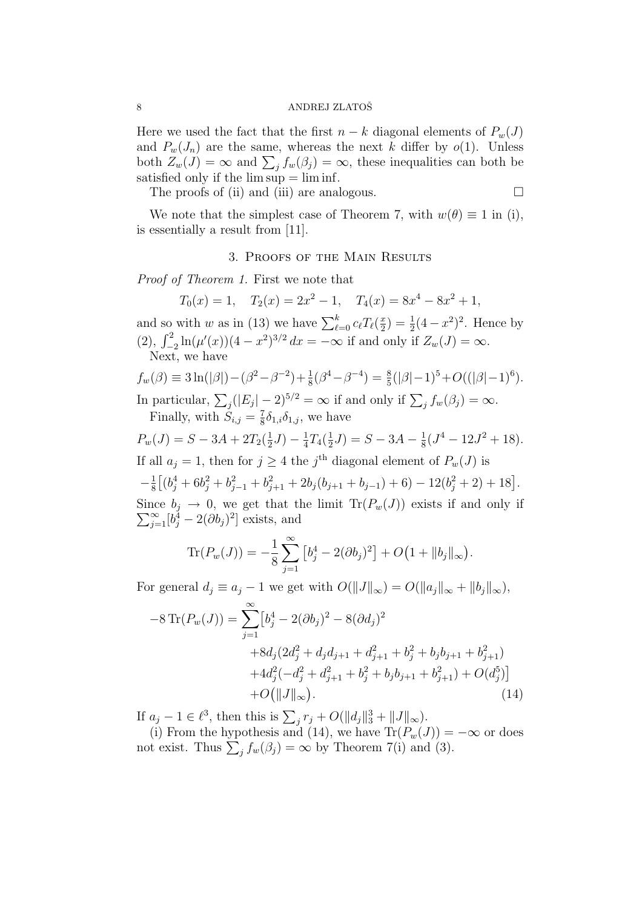Here we used the fact that the first  $n - k$  diagonal elements of  $P_w(J)$ and  $P_w(J_n)$  are the same, whereas the next k differ by  $o(1)$ . Unless and  $P_w(J_n)$  are the same, whereas the next k different by  $o(1)$ . Offices<br>both  $Z_w(J) = \infty$  and  $\sum_j f_w(\beta_j) = \infty$ , these inequalities can both be satisfied only if the  $\limsup = \liminf$ .

The proofs of (ii) and (iii) are analogous.

$$
\Box
$$

We note that the simplest case of Theorem 7, with  $w(\theta) \equiv 1$  in (i), is essentially a result from [11].

## 3. Proofs of the Main Results

Proof of Theorem 1. First we note that

$$
T_0(x) = 1
$$
,  $T_2(x) = 2x^2 - 1$ ,  $T_4(x) = 8x^4 - 8x^2 + 1$ ,

and so with w as in (13) we have  $\sum_{\ell=0}^k c_\ell T_\ell(\frac{x}{2})$ and so with w as in (13) we have  $\sum_{\ell=0}^{k} c_{\ell} T_{\ell}(\frac{x}{2}) = \frac{1}{2}(4-x^2)^2$ . Hence by (2),  $\int_{-2}^{2} \ln(\mu'(x))(4-x^2)^{3/2} dx = -\infty$  if and only if  $Z_w(J) = \infty$ . Next, we have

$$
f_w(\beta) \equiv 3\ln(|\beta|) - (\beta^2 - \beta^{-2}) + \frac{1}{8}(\beta^4 - \beta^{-4}) = \frac{8}{5}(|\beta| - 1)^5 + O((|\beta| - 1)^6).
$$
  
In particular,  $\sum_j (|E_j| - 2)^{5/2} = \infty$  if and only if  $\sum_j f_w(\beta_j) = \infty$ .

Finally, with  $S_{i,j} = \frac{7}{8}$  $\frac{7}{8}\delta_{1,i}\delta_{1,j}$ , we have

$$
P_w(J) = S - 3A + 2T_2(\frac{1}{2}J) - \frac{1}{4}T_4(\frac{1}{2}J) = S - 3A - \frac{1}{8}(J^4 - 12J^2 + 18).
$$

If all  $a_j = 1$ , then for  $j \geq 4$  the j<sup>th</sup> diagonal element of  $P_w(J)$  is  $-\frac{1}{8}$ 8 £  $(b_j^4 + 6b_j^2 + b_{j-1}^2 + b_{j+1}^2 + 2b_j(b_{j+1} + b_{j-1}) + 6) - 12(b_j^2 + 2) + 18].$ Since  $b_j \to 0$ , we get that the limit  $\text{Tr}(P_w(J))$  exists if and only if  $\sum_{j=1}^{\infty} [b_j^4 - 2(\partial b_j)^2]$  exists, and

$$
\text{Tr}(P_w(J)) = -\frac{1}{8} \sum_{j=1}^{\infty} \left[ b_j^4 - 2(\partial b_j)^2 \right] + O\big(1 + \|b_j\|_{\infty}\big).
$$

For general  $d_j \equiv a_j - 1$  we get with  $O(||J||_{\infty}) = O(||a_j||_{\infty} + ||b_j||_{\infty}),$ 

$$
-8\operatorname{Tr}(P_w(J)) = \sum_{j=1}^{\infty} \left[ b_j^4 - 2(\partial b_j)^2 - 8(\partial d_j)^2 \right. \\
\left. + 8d_j(2d_j^2 + d_jd_{j+1} + d_{j+1}^2 + b_j^2 + b_jb_{j+1} + b_{j+1}^2) + 4d_j^2(-d_j^2 + d_{j+1}^2 + b_j^2 + b_jb_{j+1} + b_{j+1}^2) + O(d_j^5) \right] \\
+ O(||J||_{\infty}). \tag{14}
$$

If  $a_j - 1 \in \ell^3$ , then this is  $\sum_j r_j + O(||d_j||_3^3 + ||J||_{\infty})$ .

(i) From the hypothesis and (14), we have  $\text{Tr}(P_w(J)) = -\infty$  or does (1) From the hypothesis and (14), we have  $\text{Tr}(P_w(J)) =$ <br>not exist. Thus  $\sum_j f_w(\beta_j) = \infty$  by Theorem 7(i) and (3).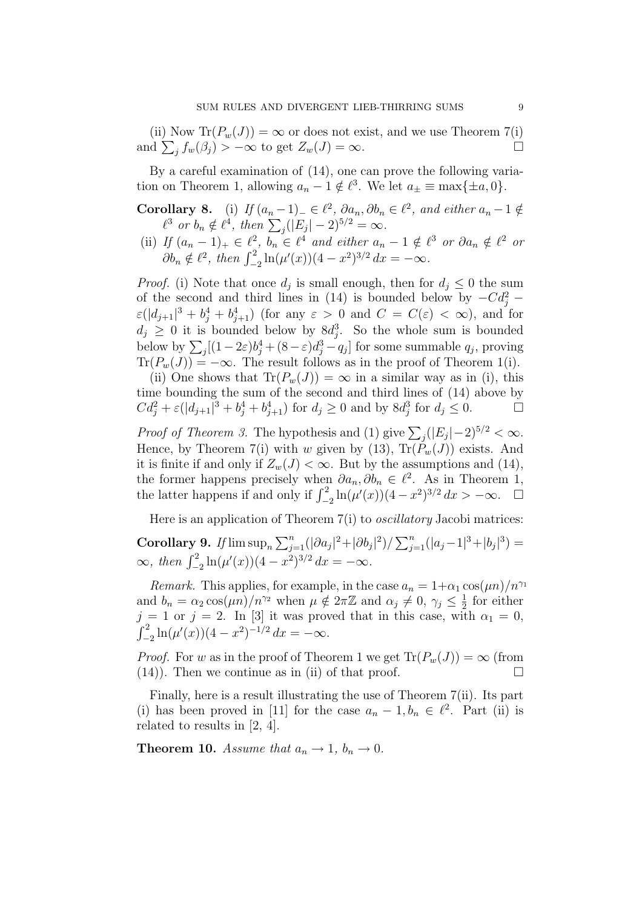(ii) Now  $\text{Tr}(P_w(J)) = \infty$  or does not exist, and we use Theorem 7(i) (ii) Now  $\text{Tr}(P_w(J)) = \infty$  or does not exist, and we use Theorem  $\ell(1)$ <br>and  $\sum_j f_w(\beta_j) > -\infty$  to get  $Z_w(J) = \infty$ .

By a careful examination of (14), one can prove the following variation on Theorem 1, allowing  $a_n - 1 \notin \ell^3$ . We let  $a_{\pm} \equiv \max\{\pm a, 0\}.$ 

- **Corollary 8.** (i) If  $(a_n 1)$ ,  $\in \ell^2$ ,  $\partial a_n$ ,  $\partial b_n \in \ell^2$ , and either  $a_n 1 \notin$ **Suary 8.** (1) If  $(a_n - 1) = \epsilon \ell^2$ ,  $\partial a_n, \partial b_n$ <br>  $\ell^3$  or  $b_n \notin \ell^4$ , then  $\sum_j (|E_j| - 2)^{5/2} = \infty$ .
- (ii) If  $(a_n 1)_+ \in \ell^2$ ,  $b_n \in \ell^4$  and either  $a_n 1 \notin \ell^3$  or  $\partial a_n \notin \ell^2$  or  $\partial b_n \notin \ell^2$ , then  $\int_{-2}^2 \ln(\mu'(x))(4-x^2)^{3/2} dx = -\infty$ .

*Proof.* (i) Note that once  $d_j$  is small enough, then for  $d_j \leq 0$  the sum of the second and third lines in (14) is bounded below by  $-Cd_j^2$  –  $\varepsilon(|d_{j+1}|^3 + b_j^4 + b_{j+1}^4)$  (for any  $\varepsilon > 0$  and  $C = C(\varepsilon) < \infty$ ), and for  $d_j \geq 0$  it is bounded below by  $8d_j^3$ . So the whole sum is bounded below by  $\sum_j [(1-2\varepsilon)b_j^4 + (8-\varepsilon)d_j^3 - q_j]$  for some summable  $q_j$ , proving  $\text{Tr}(P_w(J)) = -\infty$ . The result follows as in the proof of Theorem 1(i).

(ii) One shows that  $\text{Tr}(P_w(J)) = \infty$  in a similar way as in (i), this time bounding the sum of the second and third lines of (14) above by  $Cd_j^2 + \varepsilon(|d_{j+1}|^3 + b_j^4 + b_{j+1}^4)$  for  $d_j \ge 0$  and by  $8d_j^3$  for  $d_j \le 0$ .

*Proof of Theorem 3.* The hypothesis and (1) give  $\sum_j (|E_j| - 2)^{5/2} < \infty$ . Hence, by Theorem 7(i) with w given by (13),  $\text{Tr}(P_w(J))$  exists. And it is finite if and only if  $Z_w(J) < \infty$ . But by the assumptions and (14), the former happens precisely when  $\partial a_n, \partial b_n \in \ell^2$ . As in Theorem 1, the latter happens if and only if  $\int_{-2}^{2} \ln(\mu'(x)) (4 - x^2)^{3/2} dx > -\infty$ .  $\Box$ 

Here is an application of Theorem 7(i) to *oscillatory* Jacobi matrices: Corollary 9. If  $\limsup_n$  $\sum_{n=1}^{\infty}$  $\sum_{j=1}^{n} (|\partial a_j|^2 + |\partial b_j|^2) / \sum_{j=1}^{n}$  $j=1$  $(|a_j-1|^3+|b_j|^3) =$  $\infty$ , then  $\int_{-2}^{2} \ln(\mu'(x))(4-x^2)^{3/2} dx = -\infty$ .

Remark. This applies, for example, in the case  $a_n = 1+\alpha_1 \cos(\mu n)/n^{\gamma_1}$ and  $b_n = \alpha_2 \cos(\mu n) / n^{\gamma_2}$  when  $\mu \notin 2\pi \mathbb{Z}$  and  $\alpha_j \neq 0, \gamma_j \leq \frac{1}{2}$  $\frac{1}{2}$  for either  $j = 1$  or  $j = 2$ . In [3] it was proved that in this case, with  $\alpha_1 = 0$ ,  $\int_{-2}^{2} \ln(\mu'(x))(4-x^2)^{-1/2} dx = -\infty.$ 

*Proof.* For w as in the proof of Theorem 1 we get  $\text{Tr}(P_w(J)) = \infty$  (from  $(14)$ ). Then we continue as in (ii) of that proof.

Finally, here is a result illustrating the use of Theorem 7(ii). Its part (i) has been proved in [11] for the case  $a_n - 1, b_n \in \ell^2$ . Part (ii) is related to results in [2, 4].

**Theorem 10.** Assume that  $a_n \to 1$ ,  $b_n \to 0$ .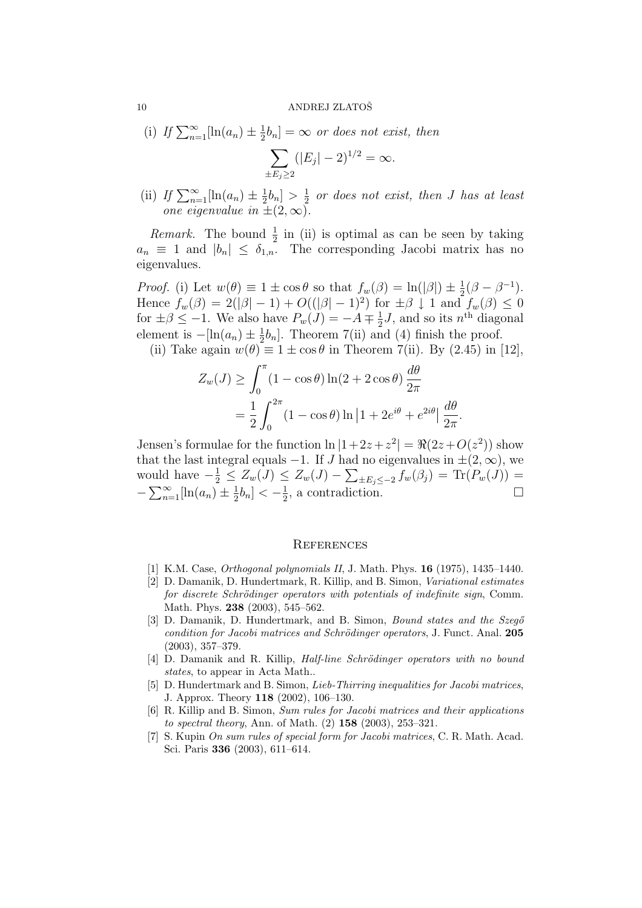#### 10 ANDREJ ZLATOŠ

(i) If  $\sum_{n=1}^{\infty} [\ln(a_n) \pm \frac{1}{2}]$  $(\frac{1}{2}b_n] = \infty$  or does not exist, then  $\overline{\phantom{a}}$  $(|E_j| - 2)^{1/2} = \infty.$ 

 $\pm E_j \geq 2$ 

(ii) If  $\sum_{n=1}^{\infty}$ [ln(a<sub>n</sub>)  $\pm \frac{1}{2}$  $\frac{1}{2}b_n$  >  $\frac{1}{2}$  $\frac{1}{2}$  or does not exist, then J has at least one eigenvalue in  $\pm(2,\infty)$ .

*Remark*. The bound  $\frac{1}{2}$  in (ii) is optimal as can be seen by taking  $a_n \equiv 1$  and  $|b_n| \leq \delta_{1,n}$ . The corresponding Jacobi matrix has no eigenvalues.

Proof. (i) Let  $w(\theta) \equiv 1 \pm \cos \theta$  so that  $f_w(\beta) = \ln(|\beta|) \pm \frac{1}{2}(\beta - \beta^{-1}).$ Hence  $f_w(\beta) = 2(|\beta| - 1) + O((|\beta| - 1)^2)$  for  $\pm \beta \downarrow 1$  and  $f_w(\beta) \leq 0$ for  $\pm \beta \leq -1$ . We also have  $P_w(J) = -A \mp \frac{1}{2}$  $\frac{1}{2}J$ , and so its  $n^{\text{th}}$  diagonal element is  $-[\ln(a_n) \pm \frac{1}{2}]$  $\frac{1}{2}b_n$ . Theorem 7(ii) and (4) finish the proof.

(ii) Take again  $w(\theta) \equiv 1 \pm \cos \theta$  in Theorem 7(ii). By (2.45) in [12],

$$
Z_w(J) \ge \int_0^{\pi} (1 - \cos \theta) \ln(2 + 2 \cos \theta) \frac{d\theta}{2\pi}
$$
  
=  $\frac{1}{2} \int_0^{2\pi} (1 - \cos \theta) \ln |1 + 2e^{i\theta} + e^{2i\theta}| \frac{d\theta}{2\pi}$ 

.

Jensen's formulae for the function  $\ln |1+2z+z^2| = \Re(2z+O(z^2))$  show that the last integral equals  $-1$ . If J had no eigenvalues in  $\pm(2,\infty)$ , we would have  $-\frac{1}{2} \le Z_w(J) \le Z_w(J) - \sum_{\pm E_j \le -2} f_w(\beta_j) = \text{Tr}(P_w(J)) =$  $-\sum_{n=1}^{\infty}$  $\sum_{n=1}^{\infty}$ [ln $(a_n) \pm \frac{1}{2}$  $\frac{1}{2}b_n$ ] <  $-\frac{1}{2}$  $\frac{1}{2}$ , a contradiction.

#### **REFERENCES**

- [1] K.M. Case, Orthogonal polynomials II, J. Math. Phys. 16 (1975), 1435–1440.
- [2] D. Damanik, D. Hundertmark, R. Killip, and B. Simon, Variational estimates for discrete Schrödinger operators with potentials of indefinite sign, Comm. Math. Phys. 238 (2003), 545–562.
- [3] D. Damanik, D. Hundertmark, and B. Simon, *Bound states and the Szegő* condition for Jacobi matrices and Schrödinger operators, J. Funct. Anal. 205 (2003), 357–379.
- [4] D. Damanik and R. Killip, *Half-line Schrödinger operators with no bound* states, to appear in Acta Math...
- [5] D. Hundertmark and B. Simon, *Lieb-Thirring inequalities for Jacobi matrices*, J. Approx. Theory 118 (2002), 106–130.
- [6] R. Killip and B. Simon, Sum rules for Jacobi matrices and their applications to spectral theory, Ann. of Math. (2) 158 (2003), 253–321.
- [7] S. Kupin On sum rules of special form for Jacobi matrices, C. R. Math. Acad. Sci. Paris 336 (2003), 611–614.